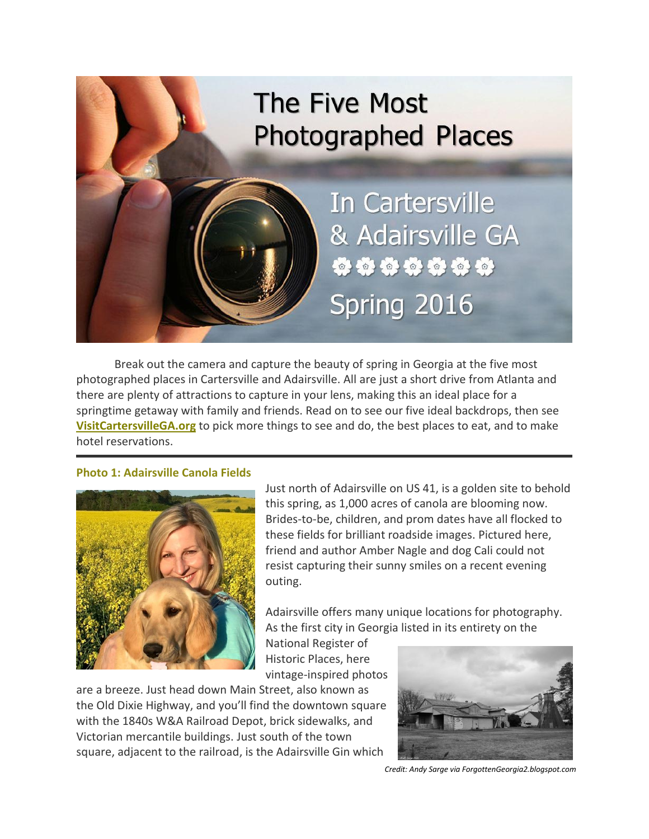

Break out the camera and capture the beauty of spring in Georgia at the five most photographed places in Cartersville and Adairsville. All are just a short drive from Atlanta and there are plenty of attractions to capture in your lens, making this an ideal place for a springtime getaway with family and friends. Read on to see our five ideal backdrops, then see **[VisitCartersvilleGA.org](http://www.visitcartersvillega.org/)** to pick more things to see and do, the best places to eat, and to make hotel reservations.

#### **Photo 1: Adairsville Canola Fields**



Just north of Adairsville on US 41, is a golden site to behold this spring, as 1,000 acres of canola are blooming now. Brides-to-be, children, and prom dates have all flocked to these fields for brilliant roadside images. Pictured here, friend and author Amber Nagle and dog Cali could not resist capturing their sunny smiles on a recent evening outing.

Adairsville offers many unique locations for photography. As the first city in Georgia listed in its entirety on the

Historic Places, here vintage-inspired photos

National Register of

are a breeze. Just head down Main Street, also known as the Old Dixie Highway, and you'll find the downtown square with the 1840s W&A Railroad Depot, brick sidewalks, and Victorian mercantile buildings. Just south of the town square, adjacent to the railroad, is the Adairsville Gin which



*Credit: Andy Sarge via ForgottenGeorgia2.blogspot.com*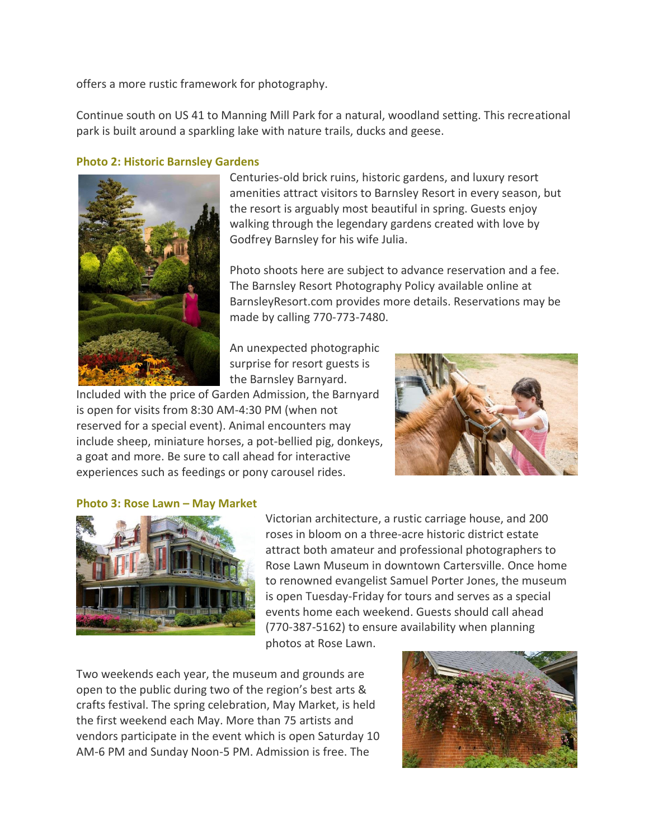offers a more rustic framework for photography.

Continue south on US 41 to Manning Mill Park for a natural, woodland setting. This recreational park is built around a sparkling lake with nature trails, ducks and geese.

## **Photo 2: Historic Barnsley Gardens**



Centuries-old brick ruins, historic gardens, and luxury resort amenities attract visitors to Barnsley Resort in every season, but the resort is arguably most beautiful in spring. Guests enjoy walking through the legendary gardens created with love by Godfrey Barnsley for his wife Julia.

Photo shoots here are subject to advance reservation and a fee. The Barnsley Resort Photography Policy available online at BarnsleyResort.com provides more details. Reservations may be made by calling 770-773-7480.

An unexpected photographic surprise for resort guests is the Barnsley Barnyard.

Included with the price of Garden Admission, the Barnyard is open for visits from 8:30 AM-4:30 PM (when not reserved for a special event). Animal encounters may include sheep, miniature horses, a pot-bellied pig, donkeys, a goat and more. Be sure to call ahead for interactive experiences such as feedings or pony carousel rides.



#### **Photo 3: Rose Lawn – May Market**



Victorian architecture, a rustic carriage house, and 200 roses in bloom on a three-acre historic district estate attract both amateur and professional photographers to Rose Lawn Museum in downtown Cartersville. Once home to renowned evangelist Samuel Porter Jones, the museum is open Tuesday-Friday for tours and serves as a special events home each weekend. Guests should call ahead (770-387-5162) to ensure availability when planning

photos at Rose Lawn.

Two weekends each year, the museum and grounds are open to the public during two of the region's best arts & crafts festival. The spring celebration, May Market, is held the first weekend each May. More than 75 artists and vendors participate in the event which is open Saturday 10 AM-6 PM and Sunday Noon-5 PM. Admission is free. The

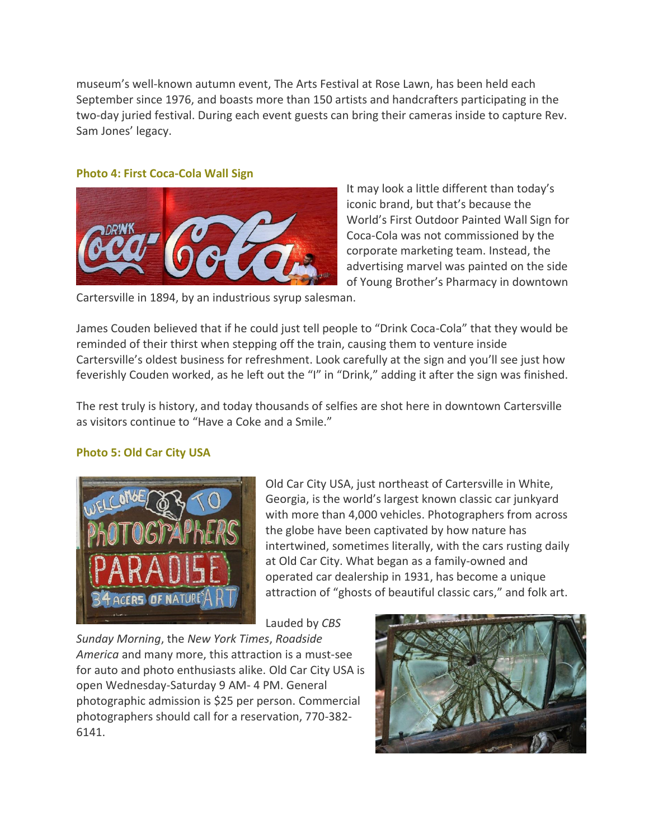museum's well-known autumn event, The Arts Festival at Rose Lawn, has been held each September since 1976, and boasts more than 150 artists and handcrafters participating in the two-day juried festival. During each event guests can bring their cameras inside to capture Rev. Sam Jones' legacy.

## **Photo 4: First Coca-Cola Wall Sign**



It may look a little different than today's iconic brand, but that's because the World's First Outdoor Painted Wall Sign for Coca-Cola was not commissioned by the corporate marketing team. Instead, the advertising marvel was painted on the side of Young Brother's Pharmacy in downtown

Cartersville in 1894, by an industrious syrup salesman.

James Couden believed that if he could just tell people to "Drink Coca-Cola" that they would be reminded of their thirst when stepping off the train, causing them to venture inside Cartersville's oldest business for refreshment. Look carefully at the sign and you'll see just how feverishly Couden worked, as he left out the "I" in "Drink," adding it after the sign was finished.

The rest truly is history, and today thousands of selfies are shot here in downtown Cartersville as visitors continue to "Have a Coke and a Smile."

# **Photo 5: Old Car City USA**



Old Car City USA, just northeast of Cartersville in White, Georgia, is the world's largest known classic car junkyard with more than 4,000 vehicles. Photographers from across the globe have been captivated by how nature has intertwined, sometimes literally, with the cars rusting daily at Old Car City. What began as a family-owned and operated car dealership in 1931, has become a unique attraction of "ghosts of beautiful classic cars," and folk art.

Lauded by *CBS* 

*Sunday Morning*, the *New York Times*, *Roadside America* and many more, this attraction is a must-see for auto and photo enthusiasts alike. Old Car City USA is open Wednesday-Saturday 9 AM- 4 PM. General photographic admission is \$25 per person. Commercial photographers should call for a reservation, 770-382- 6141.